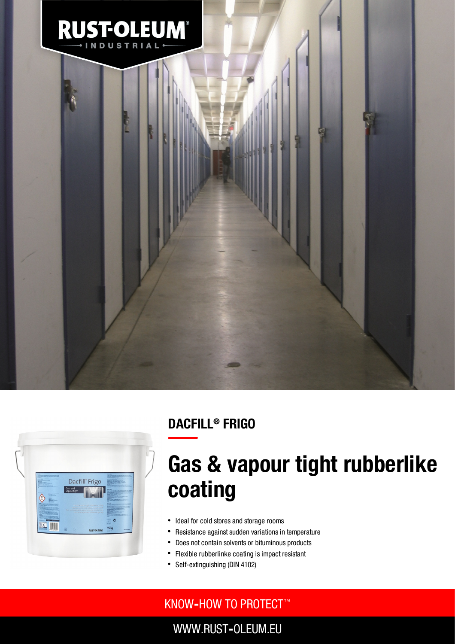

## DACFILL® FRIGO



# Gas & vapour tight rubberlike coating

- Ideal for cold stores and storage rooms
- $\bullet$ Resistance against sudden variations in temperature
- Does not contain solvents or bituminous products  $\bullet$
- $\bullet$ Flexible rubberlinke coating is impact resistant
- Self-extinguishing (DIN 4102) $\bullet$

### KNOW**‐**HOW TO PROTECT ™

WWW.RUST**‐**OLEUM.EU